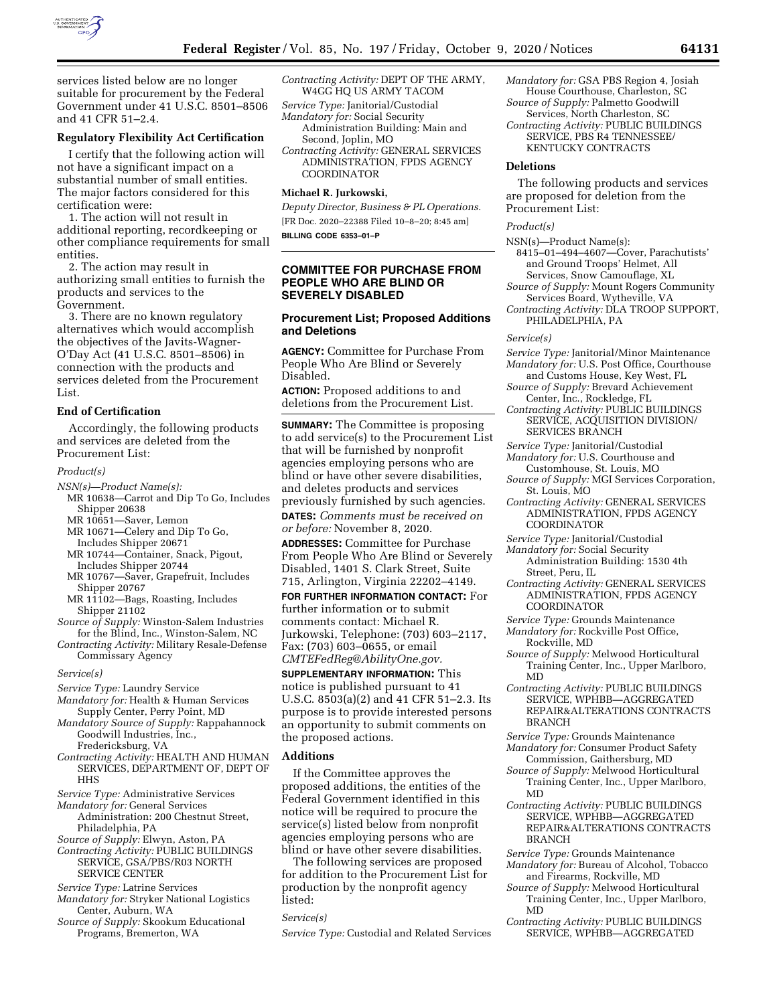

services listed below are no longer suitable for procurement by the Federal Government under 41 U.S.C. 8501–8506 and 41 CFR 51–2.4.

# **Regulatory Flexibility Act Certification**

I certify that the following action will not have a significant impact on a substantial number of small entities. The major factors considered for this certification were:

1. The action will not result in additional reporting, recordkeeping or other compliance requirements for small entities.

2. The action may result in authorizing small entities to furnish the products and services to the Government.

3. There are no known regulatory alternatives which would accomplish the objectives of the Javits-Wagner-O'Day Act (41 U.S.C. 8501–8506) in connection with the products and services deleted from the Procurement List.

## **End of Certification**

Accordingly, the following products and services are deleted from the Procurement List:

## *Product(s)*

- *NSN(s)—Product Name(s):*
- MR 10638—Carrot and Dip To Go, Includes Shipper 20638
- MR 10651—Saver, Lemon
- MR 10671—Celery and Dip To Go,
- Includes Shipper 20671
- MR 10744—Container, Snack, Pigout, Includes Shipper 20744
- MR 10767—Saver, Grapefruit, Includes Shipper 20767
- MR 11102—Bags, Roasting, Includes Shipper 21102
- *Source of Supply:* Winston-Salem Industries for the Blind, Inc., Winston-Salem, NC *Contracting Activity:* Military Resale-Defense
- Commissary Agency

## *Service(s)*

- *Service Type:* Laundry Service
- *Mandatory for:* Health & Human Services Supply Center, Perry Point, MD

*Mandatory Source of Supply:* Rappahannock Goodwill Industries, Inc., Fredericksburg, VA

- *Contracting Activity:* HEALTH AND HUMAN SERVICES, DEPARTMENT OF, DEPT OF **HHS**
- *Service Type:* Administrative Services
- *Mandatory for:* General Services Administration: 200 Chestnut Street, Philadelphia, PA
- *Source of Supply:* Elwyn, Aston, PA
- *Contracting Activity:* PUBLIC BUILDINGS SERVICE, GSA/PBS/R03 NORTH SERVICE CENTER
- *Service Type:* Latrine Services
- *Mandatory for:* Stryker National Logistics Center, Auburn, WA
- *Source of Supply:* Skookum Educational Programs, Bremerton, WA

*Contracting Activity:* DEPT OF THE ARMY, W4GG HQ US ARMY TACOM

- *Service Type:* Janitorial/Custodial *Mandatory for:* Social Security Administration Building: Main and Second, Joplin, MO
- *Contracting Activity:* GENERAL SERVICES ADMINISTRATION, FPDS AGENCY COORDINATOR

# **Michael R. Jurkowski,**

*Deputy Director, Business & PL Operations.*  [FR Doc. 2020–22388 Filed 10–8–20; 8:45 am] **BILLING CODE 6353–01–P** 

# **COMMITTEE FOR PURCHASE FROM PEOPLE WHO ARE BLIND OR SEVERELY DISABLED**

### **Procurement List; Proposed Additions and Deletions**

**AGENCY:** Committee for Purchase From People Who Are Blind or Severely Disabled.

**ACTION:** Proposed additions to and deletions from the Procurement List.

**SUMMARY:** The Committee is proposing to add service(s) to the Procurement List that will be furnished by nonprofit agencies employing persons who are blind or have other severe disabilities, and deletes products and services previously furnished by such agencies.

**DATES:** *Comments must be received on or before:* November 8, 2020.

**ADDRESSES:** Committee for Purchase From People Who Are Blind or Severely Disabled, 1401 S. Clark Street, Suite 715, Arlington, Virginia 22202–4149.

**FOR FURTHER INFORMATION CONTACT:** For further information or to submit comments contact: Michael R. Jurkowski, Telephone: (703) 603–2117, Fax: (703) 603–0655, or email *[CMTEFedReg@AbilityOne.gov.](mailto:CMTEFedReg@AbilityOne.gov)* 

**SUPPLEMENTARY INFORMATION:** This notice is published pursuant to 41 U.S.C. 8503(a)(2) and 41 CFR 51–2.3. Its purpose is to provide interested persons an opportunity to submit comments on the proposed actions.

# **Additions**

If the Committee approves the proposed additions, the entities of the Federal Government identified in this notice will be required to procure the service(s) listed below from nonprofit agencies employing persons who are blind or have other severe disabilities.

The following services are proposed for addition to the Procurement List for production by the nonprofit agency listed:

# *Service(s)*

*Service Type:* Custodial and Related Services

- *Mandatory for:* GSA PBS Region 4, Josiah House Courthouse, Charleston, SC *Source of Supply:* Palmetto Goodwill
- Services, North Charleston, SC *Contracting Activity:* PUBLIC BUILDINGS SERVICE, PBS R4 TENNESSEE/

KENTUCKY CONTRACTS

#### **Deletions**

The following products and services are proposed for deletion from the Procurement List:

#### *Product(s)*

- NSN(s)—Product Name(s):
- 8415–01–494–4607—Cover, Parachutists' and Ground Troops' Helmet, All Services, Snow Camouflage, XL
- *Source of Supply:* Mount Rogers Community Services Board, Wytheville, VA
- *Contracting Activity:* DLA TROOP SUPPORT, PHILADELPHIA, PA

*Service(s)* 

- *Service Type:* Janitorial/Minor Maintenance *Mandatory for:* U.S. Post Office, Courthouse
- and Customs House, Key West, FL *Source of Supply:* Brevard Achievement Center, Inc., Rockledge, FL
- *Contracting Activity:* PUBLIC BUILDINGS SERVICE, ACQUISITION DIVISION/ SERVICES BRANCH
- *Service Type:* Janitorial/Custodial
- *Mandatory for:* U.S. Courthouse and Customhouse, St. Louis, MO
- *Source of Supply:* MGI Services Corporation, St. Louis, MO
- *Contracting Activity:* GENERAL SERVICES ADMINISTRATION, FPDS AGENCY COORDINATOR
- *Service Type:* Janitorial/Custodial
- *Mandatory for:* Social Security
- Administration Building: 1530 4th Street, Peru, IL
- *Contracting Activity:* GENERAL SERVICES ADMINISTRATION, FPDS AGENCY COORDINATOR
- *Service Type:* Grounds Maintenance
- *Mandatory for:* Rockville Post Office, Rockville, MD
- *Source of Supply:* Melwood Horticultural Training Center, Inc., Upper Marlboro, MD
- *Contracting Activity:* PUBLIC BUILDINGS SERVICE, WPHBB—AGGREGATED REPAIR&ALTERATIONS CONTRACTS BRANCH
- *Service Type:* Grounds Maintenance
- *Mandatory for:* Consumer Product Safety Commission, Gaithersburg, MD
- *Source of Supply:* Melwood Horticultural Training Center, Inc., Upper Marlboro, MD
- *Contracting Activity:* PUBLIC BUILDINGS SERVICE, WPHBB—AGGREGATED REPAIR&ALTERATIONS CONTRACTS BRANCH
- *Service Type:* Grounds Maintenance
- *Mandatory for:* Bureau of Alcohol, Tobacco and Firearms, Rockville, MD
- *Source of Supply:* Melwood Horticultural Training Center, Inc., Upper Marlboro, MD
- *Contracting Activity:* PUBLIC BUILDINGS SERVICE, WPHBB—AGGREGATED